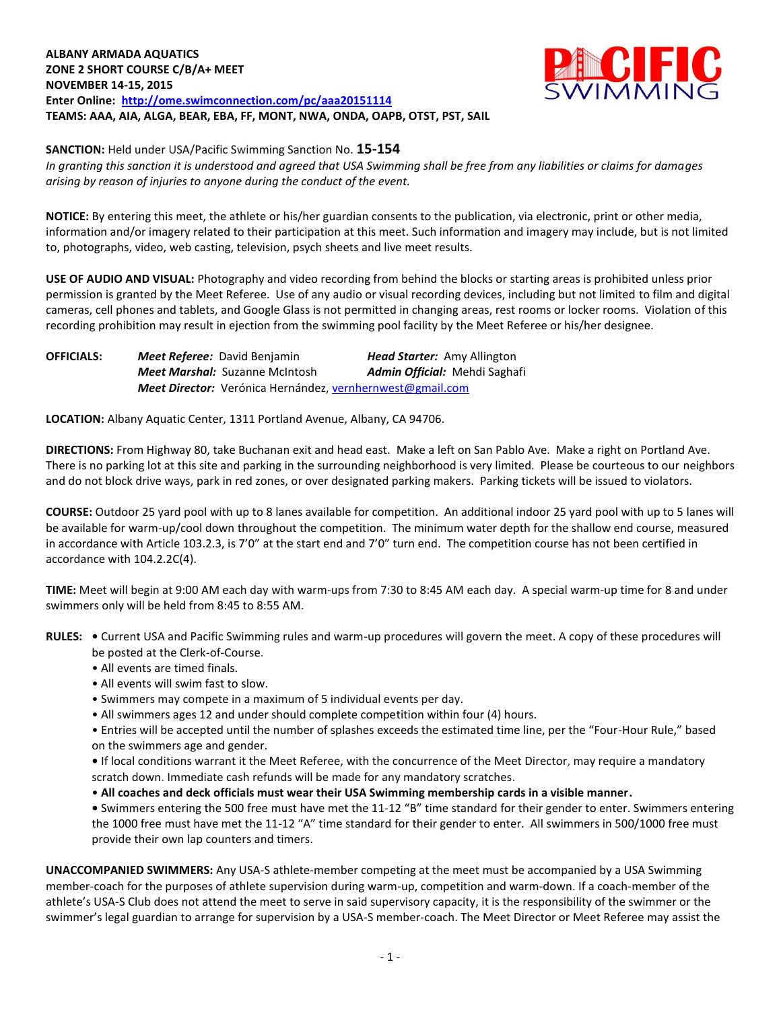## **ALBANY ARMADA AQUATICS ZONE 2 SHORT COURSE C/B/A+ MEET NOVEMBER 14-15, 2015 Enter Online: <http://ome.swimconnection.com/pc/aaa20151114> TEAMS: AAA, AIA, ALGA, BEAR, EBA, FF, MONT, NWA, ONDA, OAPB, OTST, PST, SAIL**



**SANCTION:** Held under USA/Pacific Swimming Sanction No. **15-154**

*In granting this sanction it is understood and agreed that USA Swimming shall be free from any liabilities or claims for damages arising by reason of injuries to anyone during the conduct of the event.*

**NOTICE:** By entering this meet, the athlete or his/her guardian consents to the publication, via electronic, print or other media, information and/or imagery related to their participation at this meet. Such information and imagery may include, but is not limited to, photographs, video, web casting, television, psych sheets and live meet results.

**USE OF AUDIO AND VISUAL:** Photography and video recording from behind the blocks or starting areas is prohibited unless prior permission is granted by the Meet Referee. Use of any audio or visual recording devices, including but not limited to film and digital cameras, cell phones and tablets, and Google Glass is not permitted in changing areas, rest rooms or locker rooms. Violation of this recording prohibition may result in ejection from the swimming pool facility by the Meet Referee or his/her designee.

**OFFICIALS:** *Meet Referee:* David Benjamin *Head Starter:* Amy Allington *Meet Marshal:* Suzanne McIntosh *Admin Official:* Mehdi Saghafi *Meet Director:* Verónica Hernández[, vernhernwest@gmail.com](mailto:vernhernwest@gmail.com)

**LOCATION:** Albany Aquatic Center, 1311 Portland Avenue, Albany, CA 94706.

**DIRECTIONS:** From Highway 80, take Buchanan exit and head east. Make a left on San Pablo Ave. Make a right on Portland Ave. There is no parking lot at this site and parking in the surrounding neighborhood is very limited. Please be courteous to our neighbors and do not block drive ways, park in red zones, or over designated parking makers. Parking tickets will be issued to violators.

**COURSE:** Outdoor 25 yard pool with up to 8 lanes available for competition.An additional indoor 25 yard pool with up to 5 lanes will be available for warm-up/cool down throughout the competition. The minimum water depth for the shallow end course, measured in accordance with Article 103.2.3, is 7'0" at the start end and 7'0" turn end. The competition course has not been certified in accordance with 104.2.2C(4).

**TIME:** Meet will begin at 9:00 AM each day with warm-ups from 7:30 to 8:45 AM each day. A special warm-up time for 8 and under swimmers only will be held from 8:45 to 8:55 AM.

**RULES: •** Current USA and Pacific Swimming rules and warm-up procedures will govern the meet. A copy of these procedures will be posted at the Clerk-of-Course.

- All events are timed finals.
- All events will swim fast to slow.
- Swimmers may compete in a maximum of 5 individual events per day.
- All swimmers ages 12 and under should complete competition within four (4) hours.

• Entries will be accepted until the number of splashes exceeds the estimated time line, per the "Four-Hour Rule," based on the swimmers age and gender.

**•** If local conditions warrant it the Meet Referee, with the concurrence of the Meet Director, may require a mandatory scratch down. Immediate cash refunds will be made for any mandatory scratches.

• **All coaches and deck officials must wear their USA Swimming membership cards in a visible manner.** 

**•** Swimmers entering the 500 free must have met the 11-12 "B" time standard for their gender to enter. Swimmers entering the 1000 free must have met the 11-12 "A" time standard for their gender to enter. All swimmers in 500/1000 free must provide their own lap counters and timers.

**UNACCOMPANIED SWIMMERS:** Any USA-S athlete-member competing at the meet must be accompanied by a USA Swimming member-coach for the purposes of athlete supervision during warm-up, competition and warm-down. If a coach-member of the athlete's USA-S Club does not attend the meet to serve in said supervisory capacity, it is the responsibility of the swimmer or the swimmer's legal guardian to arrange for supervision by a USA-S member-coach. The Meet Director or Meet Referee may assist the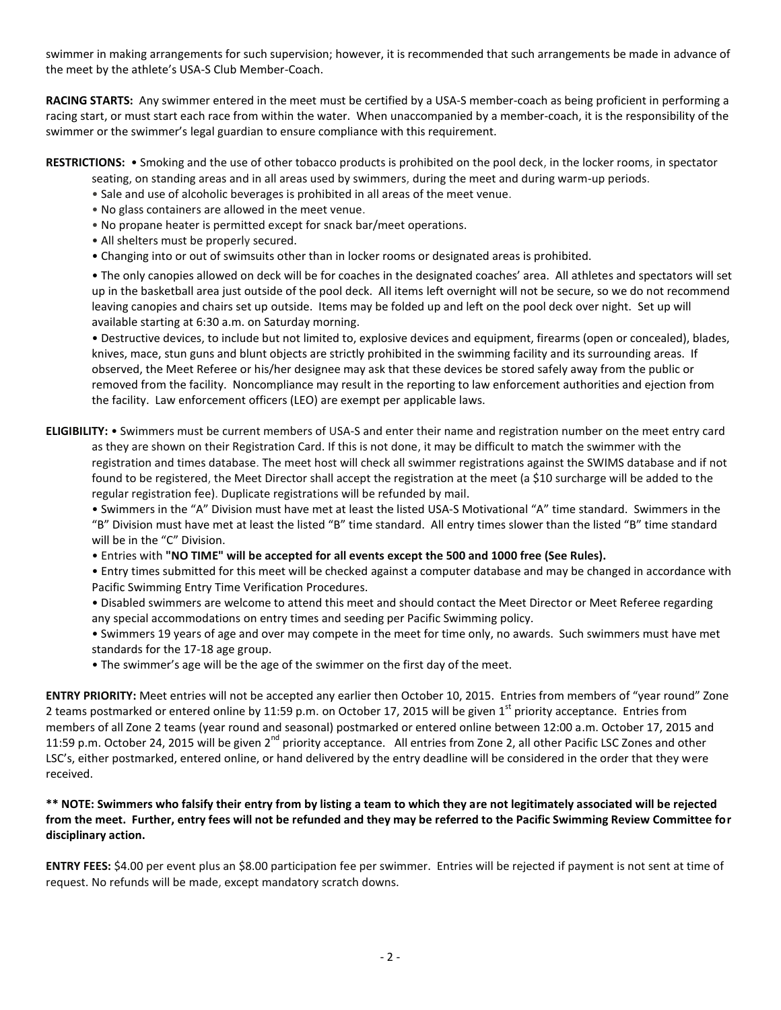swimmer in making arrangements for such supervision; however, it is recommended that such arrangements be made in advance of the meet by the athlete's USA-S Club Member-Coach.

**RACING STARTS:** Any swimmer entered in the meet must be certified by a USA-S member-coach as being proficient in performing a racing start, or must start each race from within the water. When unaccompanied by a member-coach, it is the responsibility of the swimmer or the swimmer's legal guardian to ensure compliance with this requirement.

#### **RESTRICTIONS:** • Smoking and the use of other tobacco products is prohibited on the pool deck, in the locker rooms, in spectator seating, on standing areas and in all areas used by swimmers, during the meet and during warm-up periods.

- Sale and use of alcoholic beverages is prohibited in all areas of the meet venue.
- No glass containers are allowed in the meet venue.
- No propane heater is permitted except for snack bar/meet operations.
- All shelters must be properly secured.
- Changing into or out of swimsuits other than in locker rooms or designated areas is prohibited.

• The only canopies allowed on deck will be for coaches in the designated coaches' area. All athletes and spectators will set up in the basketball area just outside of the pool deck. All items left overnight will not be secure, so we do not recommend leaving canopies and chairs set up outside. Items may be folded up and left on the pool deck over night. Set up will available starting at 6:30 a.m. on Saturday morning.

• Destructive devices, to include but not limited to, explosive devices and equipment, firearms (open or concealed), blades, knives, mace, stun guns and blunt objects are strictly prohibited in the swimming facility and its surrounding areas. If observed, the Meet Referee or his/her designee may ask that these devices be stored safely away from the public or removed from the facility. Noncompliance may result in the reporting to law enforcement authorities and ejection from the facility. Law enforcement officers (LEO) are exempt per applicable laws.

**ELIGIBILITY:** • Swimmers must be current members of USA-S and enter their name and registration number on the meet entry card as they are shown on their Registration Card. If this is not done, it may be difficult to match the swimmer with the registration and times database. The meet host will check all swimmer registrations against the SWIMS database and if not found to be registered, the Meet Director shall accept the registration at the meet (a \$10 surcharge will be added to the regular registration fee). Duplicate registrations will be refunded by mail.

• Swimmers in the "A" Division must have met at least the listed USA-S Motivational "A" time standard. Swimmers in the "B" Division must have met at least the listed "B" time standard. All entry times slower than the listed "B" time standard will be in the "C" Division.

• Entries with **"NO TIME" will be accepted for all events except the 500 and 1000 free (See Rules).** 

• Entry times submitted for this meet will be checked against a computer database and may be changed in accordance with Pacific Swimming Entry Time Verification Procedures.

• Disabled swimmers are welcome to attend this meet and should contact the Meet Director or Meet Referee regarding any special accommodations on entry times and seeding per Pacific Swimming policy.

• Swimmers 19 years of age and over may compete in the meet for time only, no awards. Such swimmers must have met standards for the 17-18 age group.

• The swimmer's age will be the age of the swimmer on the first day of the meet.

**ENTRY PRIORITY:** Meet entries will not be accepted any earlier then October 10, 2015. Entries from members of "year round" Zone 2 teams postmarked or entered online by 11:59 p.m. on October 17, 2015 will be given  $1^{st}$  priority acceptance. Entries from members of all Zone 2 teams (year round and seasonal) postmarked or entered online between 12:00 a.m. October 17, 2015 and 11:59 p.m. October 24, 2015 will be given 2<sup>nd</sup> priority acceptance. All entries from Zone 2, all other Pacific LSC Zones and other LSC's, either postmarked, entered online, or hand delivered by the entry deadline will be considered in the order that they were received.

# **\*\* NOTE: Swimmers who falsify their entry from by listing a team to which they are not legitimately associated will be rejected from the meet. Further, entry fees will not be refunded and they may be referred to the Pacific Swimming Review Committee for disciplinary action.**

**ENTRY FEES:** \$4.00 per event plus an \$8.00 participation fee per swimmer. Entries will be rejected if payment is not sent at time of request. No refunds will be made, except mandatory scratch downs.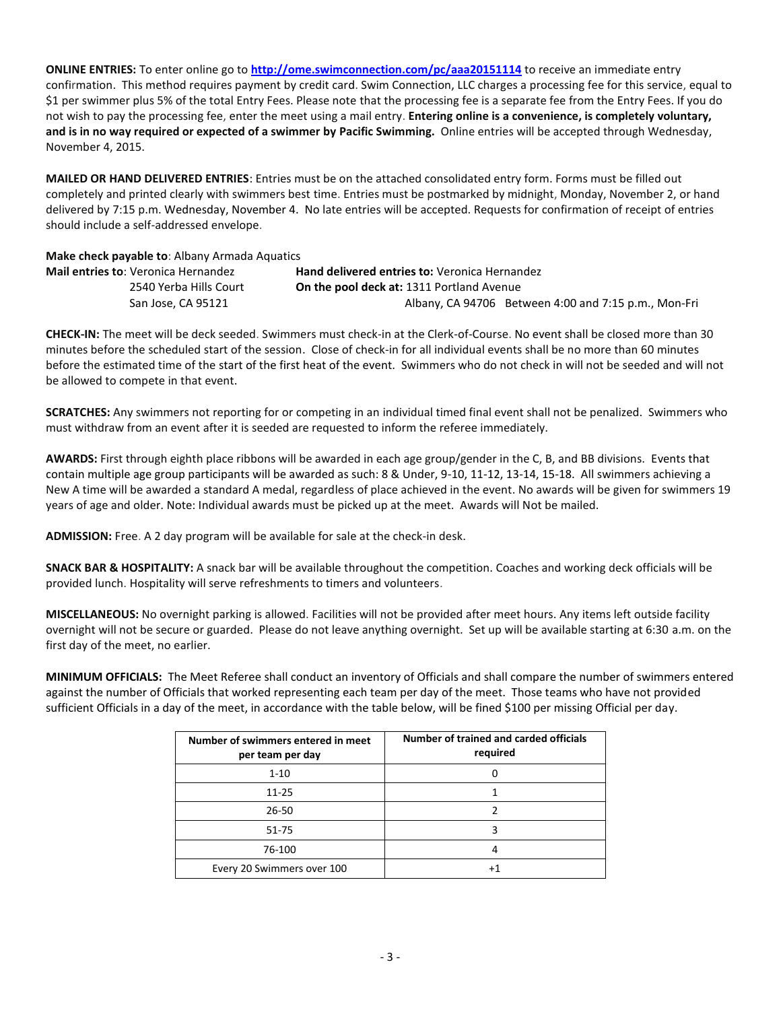**ONLINE ENTRIES:** To enter online go to **<http://ome.swimconnection.com/pc/aaa20151114>** to receive an immediate entry confirmation. This method requires payment by credit card. Swim Connection, LLC charges a processing fee for this service, equal to \$1 per swimmer plus 5% of the total Entry Fees. Please note that the processing fee is a separate fee from the Entry Fees. If you do not wish to pay the processing fee, enter the meet using a mail entry. **Entering online is a convenience, is completely voluntary, and is in no way required or expected of a swimmer by Pacific Swimming.** Online entries will be accepted through Wednesday, November 4, 2015.

**MAILED OR HAND DELIVERED ENTRIES**: Entries must be on the attached consolidated entry form. Forms must be filled out completely and printed clearly with swimmers best time. Entries must be postmarked by midnight, Monday, November 2, or hand delivered by 7:15 p.m. Wednesday, November 4. No late entries will be accepted. Requests for confirmation of receipt of entries should include a self-addressed envelope.

**Make check payable to**: Albany Armada Aquatics

| <b>Mail entries to: Veronica Hernandez</b> | <b>Hand delivered entries to: Veronica Hernandez</b> |
|--------------------------------------------|------------------------------------------------------|
| 2540 Yerba Hills Court                     | <b>On the pool deck at: 1311 Portland Avenue</b>     |
| San Jose, CA 95121                         | Albany, CA 94706 Between 4:00 and 7:15 p.m., Mon-Fri |

**CHECK-IN:** The meet will be deck seeded. Swimmers must check-in at the Clerk-of-Course. No event shall be closed more than 30 minutes before the scheduled start of the session. Close of check-in for all individual events shall be no more than 60 minutes before the estimated time of the start of the first heat of the event. Swimmers who do not check in will not be seeded and will not be allowed to compete in that event.

**SCRATCHES:** Any swimmers not reporting for or competing in an individual timed final event shall not be penalized. Swimmers who must withdraw from an event after it is seeded are requested to inform the referee immediately.

**AWARDS:** First through eighth place ribbons will be awarded in each age group/gender in the C, B, and BB divisions. Events that contain multiple age group participants will be awarded as such: 8 & Under, 9-10, 11-12, 13-14, 15-18. All swimmers achieving a New A time will be awarded a standard A medal, regardless of place achieved in the event. No awards will be given for swimmers 19 years of age and older. Note: Individual awards must be picked up at the meet. Awards will Not be mailed.

**ADMISSION:** Free. A 2 day program will be available for sale at the check-in desk.

**SNACK BAR & HOSPITALITY:** A snack bar will be available throughout the competition. Coaches and working deck officials will be provided lunch. Hospitality will serve refreshments to timers and volunteers.

**MISCELLANEOUS:** No overnight parking is allowed. Facilities will not be provided after meet hours. Any items left outside facility overnight will not be secure or guarded. Please do not leave anything overnight. Set up will be available starting at 6:30 a.m. on the first day of the meet, no earlier.

**MINIMUM OFFICIALS:** The Meet Referee shall conduct an inventory of Officials and shall compare the number of swimmers entered against the number of Officials that worked representing each team per day of the meet. Those teams who have not provided sufficient Officials in a day of the meet, in accordance with the table below, will be fined \$100 per missing Official per day.

| Number of swimmers entered in meet<br>per team per day | Number of trained and carded officials<br>required |
|--------------------------------------------------------|----------------------------------------------------|
| $1 - 10$                                               |                                                    |
| 11-25                                                  |                                                    |
| 26-50                                                  |                                                    |
| 51-75                                                  |                                                    |
| 76-100                                                 |                                                    |
| Every 20 Swimmers over 100                             | +1                                                 |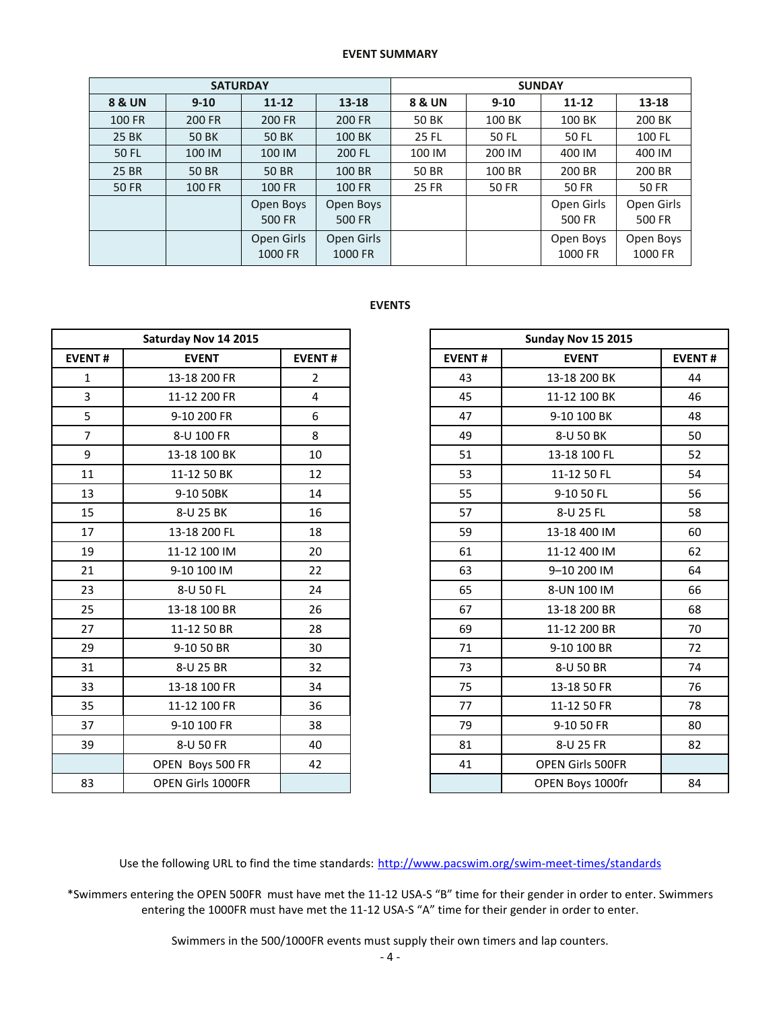### **EVENT SUMMARY**

|                   | <b>SATURDAY</b> |                       |                       | <b>SUNDAY</b>          |          |                      |                      |  |  |
|-------------------|-----------------|-----------------------|-----------------------|------------------------|----------|----------------------|----------------------|--|--|
| <b>8 &amp; UN</b> | $9 - 10$        | $11 - 12$             | 13-18                 | 8 & UN                 | $9 - 10$ | $11 - 12$            | 13-18                |  |  |
| 100 FR            | <b>200 FR</b>   | 200 FR                | 200 FR                | 50 BK                  | 100 BK   | 100 BK               | 200 BK               |  |  |
| 25 BK             | <b>50 BK</b>    | 50 BK                 | 100 BK                | <b>25 FL</b>           | 50 FL    | 50 FL                | 100 FL               |  |  |
| 50 FL             | 100 IM          | 100 IM                | 200 FL                | 100 IM                 | 200 IM   | 400 IM               | 400 IM               |  |  |
| 25 BR             | 50 BR           | 50 BR                 | 100 BR                | <b>50 BR</b><br>100 BR |          | 200 BR               | 200 BR               |  |  |
| <b>50 FR</b>      | <b>100 FR</b>   | 100 FR                | 100 FR                | <b>25 FR</b>           | 50 FR    | <b>50 FR</b>         | <b>50 FR</b>         |  |  |
|                   |                 | Open Boys<br>500 FR   | Open Boys<br>500 FR   |                        |          | Open Girls<br>500 FR | Open Girls<br>500 FR |  |  |
|                   |                 | Open Girls<br>1000 FR | Open Girls<br>1000 FR |                        |          | Open Boys<br>1000 FR | Open Boys<br>1000 FR |  |  |

#### **EVENTS**

|                | Saturday Nov 14 2015 |                |               | Sunday Nov 15 2015 |
|----------------|----------------------|----------------|---------------|--------------------|
| <b>EVENT#</b>  | <b>EVENT</b>         | <b>EVENT#</b>  | <b>EVENT#</b> | <b>EVENT</b>       |
| $\mathbf{1}$   | 13-18 200 FR         | $\overline{2}$ | 43            | 13-18 200 BK       |
| $\overline{3}$ | 11-12 200 FR         | $\overline{4}$ | 45            | 11-12 100 BK       |
| 5              | 9-10 200 FR          | 6              | 47            | 9-10 100 BK        |
| $\overline{7}$ | 8-U 100 FR           | 8              | 49            | 8-U 50 BK          |
| 9              | 13-18 100 BK         | 10             | 51            | 13-18 100 FL       |
| 11             | 11-12 50 BK          | 12             | 53            | 11-12 50 FL        |
| 13             | 9-10 50BK            | 14             | 55            | 9-10 50 FL         |
| 15             | 8-U 25 BK            | 16             | 57            | 8-U 25 FL          |
| 17             | 13-18 200 FL         | 18             | 59            | 13-18 400 IM       |
| 19             | 11-12 100 IM         | 20             | 61            | 11-12 400 IM       |
| 21             | 9-10 100 IM          | 22             | 63            | 9-10 200 IM        |
| 23             | 8-U 50 FL            | 24             | 65            | 8-UN 100 IM        |
| 25             | 13-18 100 BR         | 26             | 67            | 13-18 200 BR       |
| 27             | 11-12 50 BR          | 28             | 69            | 11-12 200 BR       |
| 29             | 9-10 50 BR           | 30             | 71            | 9-10 100 BR        |
| 31             | 8-U 25 BR            | 32             | 73            | 8-U 50 BR          |
| 33             | 13-18 100 FR         | 34             | 75            | 13-18 50 FR        |
| 35             | 11-12 100 FR         | 36             | 77            | 11-12 50 FR        |
| 37             | 9-10 100 FR          | 38             | 79            | 9-10 50 FR         |
| 39             | 8-U 50 FR            | 40             | 81            | 8-U 25 FR          |
|                | OPEN Boys 500 FR     | 42             | 41            | OPEN Girls 500FR   |
| 83             | OPEN Girls 1000FR    |                |               | OPEN Bovs 1000fr   |

|                | Saturday Nov 14 2015     |                |
|----------------|--------------------------|----------------|
| <b>EVENT#</b>  | <b>EVENT</b>             | <b>EVENT#</b>  |
| $\mathbf{1}$   | 13-18 200 FR             | $\overline{2}$ |
| $\overline{3}$ | 11-12 200 FR             | 4              |
| 5              | 9-10 200 FR              | 6              |
| $\overline{7}$ | 8-U 100 FR               | 8              |
| 9              | 13-18 100 BK             | 10             |
| 11             | 11-12 50 BK              | 12             |
| 13             | 9-10 50BK                | 14             |
| 15             | 8-U 25 BK                | 16             |
| 17             | 13-18 200 FL             | 18             |
| 19             | 11-12 100 IM             | 20             |
| 21             | 9-10 100 IM              | 22             |
| 23             | 8-U 50 FL                | 24             |
| 25             | 13-18 100 BR             | 26             |
| 27             | 11-12 50 BR              | 28             |
| 29             | 9-10 50 BR               | 30             |
| 31             | 8-U 25 BR                | 32             |
| 33             | 13-18 100 FR             | 34             |
| 35             | 11-12 100 FR             | 36             |
| 37             | 9-10 100 FR              | 38             |
| 39             | 8-U 50 FR                | 40             |
|                | OPEN Boys 500 FR         | 42             |
| 83             | <b>OPEN Girls 1000FR</b> |                |

Use the following URL to find the time standards: <http://www.pacswim.org/swim-meet-times/standards>

\*Swimmers entering the OPEN 500FR must have met the 11-12 USA-S "B" time for their gender in order to enter. Swimmers entering the 1000FR must have met the 11-12 USA-S "A" time for their gender in order to enter.

Swimmers in the 500/1000FR events must supply their own timers and lap counters.